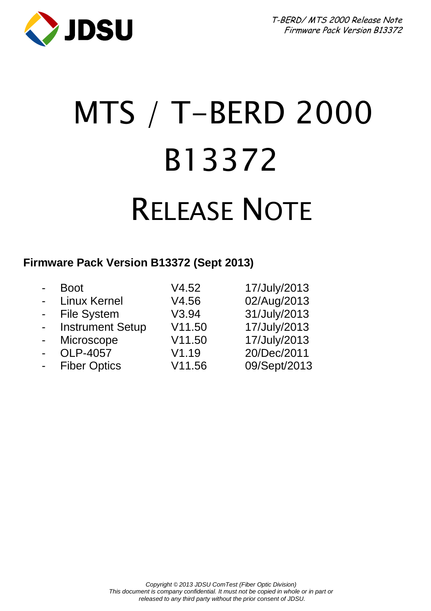

# MTS / T-BERD 2000 B13372 RELEASE NOTE

#### **Firmware Pack Version B13372 (Sept 2013)**

| $\blacksquare$ | Boot                    | V4.52  | 17/July/2013 |
|----------------|-------------------------|--------|--------------|
| $\blacksquare$ | <b>Linux Kernel</b>     | V4.56  | 02/Aug/2013  |
| $\blacksquare$ | <b>File System</b>      | V3.94  | 31/July/2013 |
| $\blacksquare$ | <b>Instrument Setup</b> | V11.50 | 17/July/2013 |
| $\blacksquare$ | Microscope              | V11.50 | 17/July/2013 |
| $\blacksquare$ | OLP-4057                | V1.19  | 20/Dec/2011  |
| $\blacksquare$ | <b>Fiber Optics</b>     | V11.56 | 09/Sept/2013 |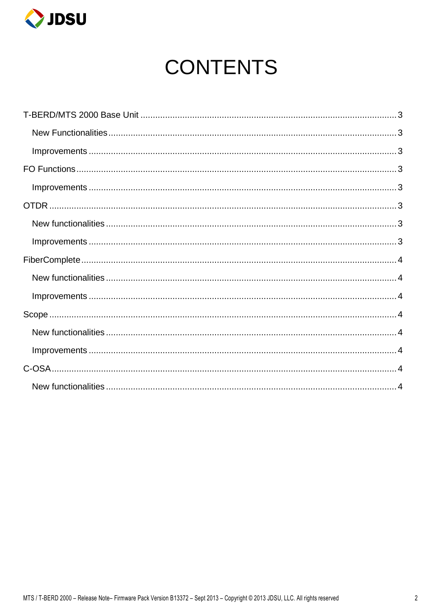

# **CONTENTS**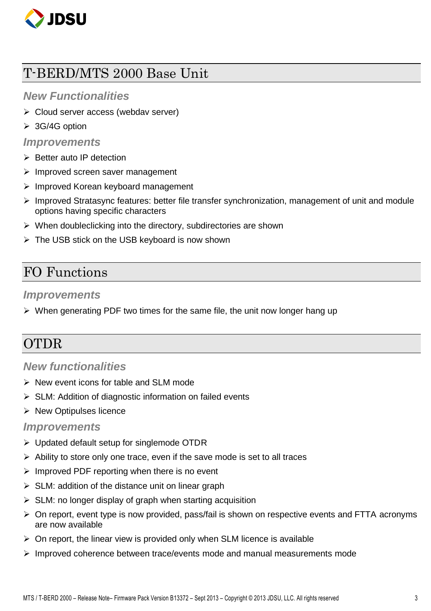

# <span id="page-2-0"></span>T-BERD/MTS 2000 Base Unit

#### <span id="page-2-1"></span>*New Functionalities*

- Cloud server access (webdav server)
- $\triangleright$  3G/4G option

#### <span id="page-2-2"></span>*Improvements*

- $\triangleright$  Better auto IP detection
- $\triangleright$  Improved screen saver management
- > Improved Korean keyboard management
- $\triangleright$  Improved Stratasync features: better file transfer synchronization, management of unit and module options having specific characters
- $\triangleright$  When doubleclicking into the directory, subdirectories are shown
- $\triangleright$  The USB stick on the USB keyboard is now shown

## <span id="page-2-3"></span>FO Functions

#### <span id="page-2-4"></span>*Improvements*

 $\triangleright$  When generating PDF two times for the same file, the unit now longer hang up

# <span id="page-2-5"></span>OTDR

#### <span id="page-2-6"></span>*New functionalities*

- $\triangleright$  New event icons for table and SLM mode
- $\triangleright$  SLM: Addition of diagnostic information on failed events
- $\triangleright$  New Optipulses licence

#### <span id="page-2-7"></span>*Improvements*

- $\triangleright$  Updated default setup for singlemode OTDR
- $\triangleright$  Ability to store only one trace, even if the save mode is set to all traces
- $\triangleright$  Improved PDF reporting when there is no event
- $\triangleright$  SLM: addition of the distance unit on linear graph
- $\triangleright$  SLM: no longer display of graph when starting acquisition
- $\triangleright$  On report, event type is now provided, pass/fail is shown on respective events and FTTA acronyms are now available
- $\triangleright$  On report, the linear view is provided only when SLM licence is available
- $\triangleright$  Improved coherence between trace/events mode and manual measurements mode